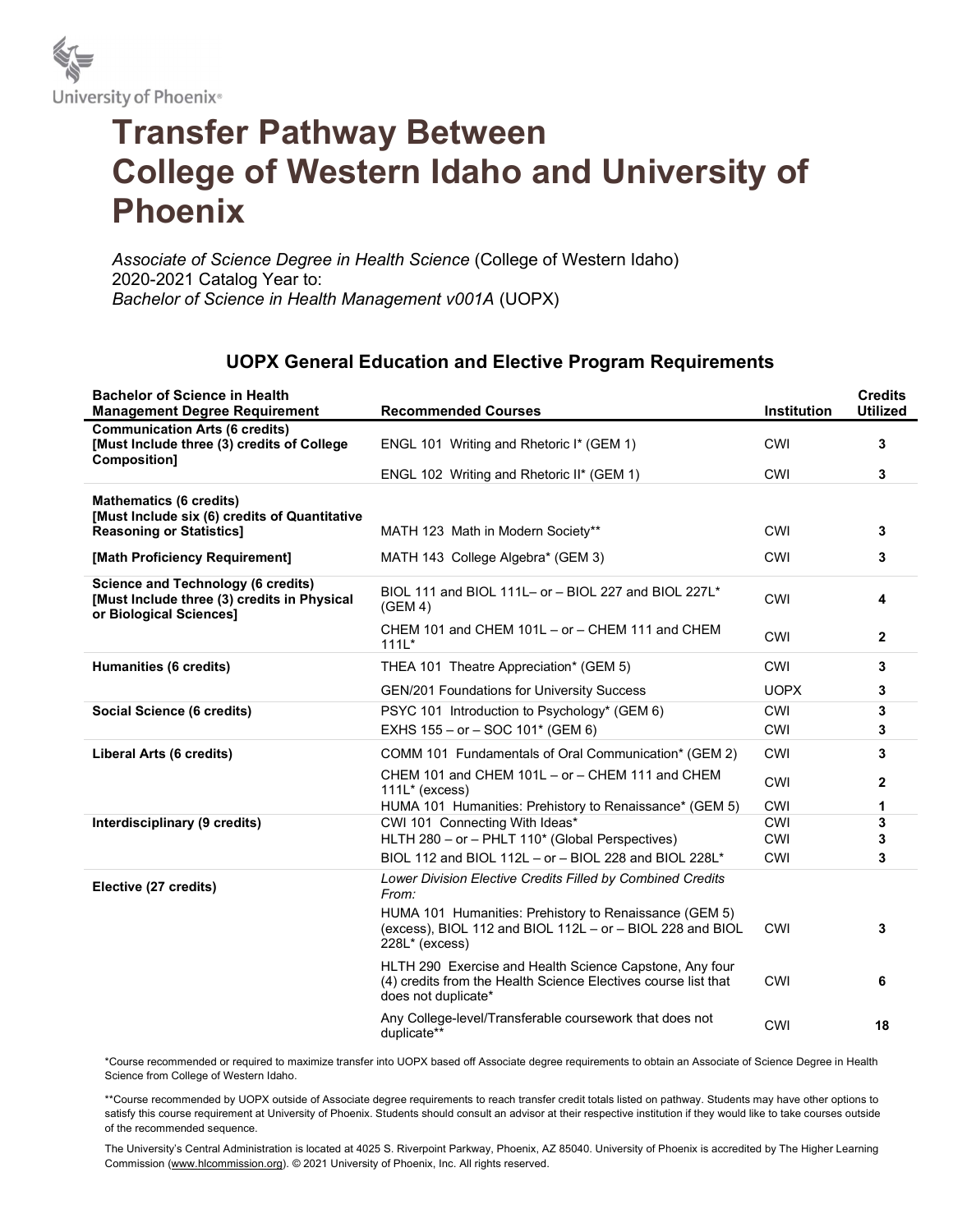

## Transfer Pathway Between College of Western Idaho and University of Phoenix

Associate of Science Degree in Health Science (College of Western Idaho) 2020-2021 Catalog Year to: Bachelor of Science in Health Management v001A (UOPX)

## UOPX General Education and Elective Program Requirements

| <b>Bachelor of Science in Health</b><br><b>Management Degree Requirement</b>                                        | <b>Recommended Courses</b>                                                                                                                       | <b>Institution</b> | <b>Credits</b><br><b>Utilized</b> |
|---------------------------------------------------------------------------------------------------------------------|--------------------------------------------------------------------------------------------------------------------------------------------------|--------------------|-----------------------------------|
| <b>Communication Arts (6 credits)</b><br>[Must Include three (3) credits of College<br><b>Composition]</b>          | ENGL 101 Writing and Rhetoric I* (GEM 1)                                                                                                         | <b>CWI</b>         | 3                                 |
|                                                                                                                     | ENGL 102 Writing and Rhetoric II* (GEM 1)                                                                                                        | CWI                | 3                                 |
| <b>Mathematics (6 credits)</b><br>[Must Include six (6) credits of Quantitative                                     |                                                                                                                                                  | CWI                | 3                                 |
| <b>Reasoning or Statistics]</b>                                                                                     | MATH 123 Math in Modern Society**                                                                                                                |                    |                                   |
| [Math Proficiency Requirement]                                                                                      | MATH 143 College Algebra* (GEM 3)                                                                                                                | <b>CWI</b>         | 3                                 |
| <b>Science and Technology (6 credits)</b><br>[Must Include three (3) credits in Physical<br>or Biological Sciences] | BIOL 111 and BIOL 111L- or - BIOL 227 and BIOL 227L*<br>(GEM 4)                                                                                  | <b>CWI</b>         | 4                                 |
|                                                                                                                     | CHEM 101 and CHEM 101L - or - CHEM 111 and CHEM<br>$111L*$                                                                                       | <b>CWI</b>         | $\mathbf{2}$                      |
| Humanities (6 credits)                                                                                              | THEA 101 Theatre Appreciation* (GEM 5)                                                                                                           | <b>CWI</b>         | 3                                 |
|                                                                                                                     | <b>GEN/201 Foundations for University Success</b>                                                                                                | <b>UOPX</b>        | 3                                 |
| Social Science (6 credits)                                                                                          | PSYC 101 Introduction to Psychology* (GEM 6)                                                                                                     | CWI                | 3                                 |
|                                                                                                                     | EXHS 155 - or - SOC 101* (GEM 6)                                                                                                                 | <b>CWI</b>         | 3                                 |
| Liberal Arts (6 credits)                                                                                            | COMM 101 Fundamentals of Oral Communication* (GEM 2)                                                                                             | <b>CWI</b>         | 3                                 |
|                                                                                                                     | CHEM 101 and CHEM 101L - or - CHEM 111 and CHEM<br>$111L^*$ (excess)                                                                             | <b>CWI</b>         | 2                                 |
|                                                                                                                     | HUMA 101 Humanities: Prehistory to Renaissance* (GEM 5)                                                                                          | <b>CWI</b>         | 1                                 |
| Interdisciplinary (9 credits)                                                                                       | CWI 101 Connecting With Ideas*<br>HLTH 280 - or - PHLT 110* (Global Perspectives)                                                                | <b>CWI</b><br>CWI  | 3<br>3                            |
|                                                                                                                     | BIOL 112 and BIOL 112L - or - BIOL 228 and BIOL 228L*                                                                                            | <b>CWI</b>         | 3                                 |
| Elective (27 credits)                                                                                               | Lower Division Elective Credits Filled by Combined Credits<br>From:                                                                              |                    |                                   |
|                                                                                                                     | HUMA 101 Humanities: Prehistory to Renaissance (GEM 5)<br>(excess), BIOL 112 and BIOL 112L - or - BIOL 228 and BIOL<br>228L* (excess)            | <b>CWI</b>         | 3                                 |
|                                                                                                                     | HLTH 290 Exercise and Health Science Capstone, Any four<br>(4) credits from the Health Science Electives course list that<br>does not duplicate* | <b>CWI</b>         | 6                                 |
|                                                                                                                     | Any College-level/Transferable coursework that does not<br>duplicate**                                                                           | <b>CWI</b>         | 18                                |

\*Course recommended or required to maximize transfer into UOPX based off Associate degree requirements to obtain an Associate of Science Degree in Health Science from College of Western Idaho.

\*\*Course recommended by UOPX outside of Associate degree requirements to reach transfer credit totals listed on pathway. Students may have other options to satisfy this course requirement at University of Phoenix. Students should consult an advisor at their respective institution if they would like to take courses outside of the recommended sequence.

The University's Central Administration is located at 4025 S. Riverpoint Parkway, Phoenix, AZ 85040. University of Phoenix is accredited by The Higher Learning Commission (www.hlcommission.org). © 2021 University of Phoenix, Inc. All rights reserved.